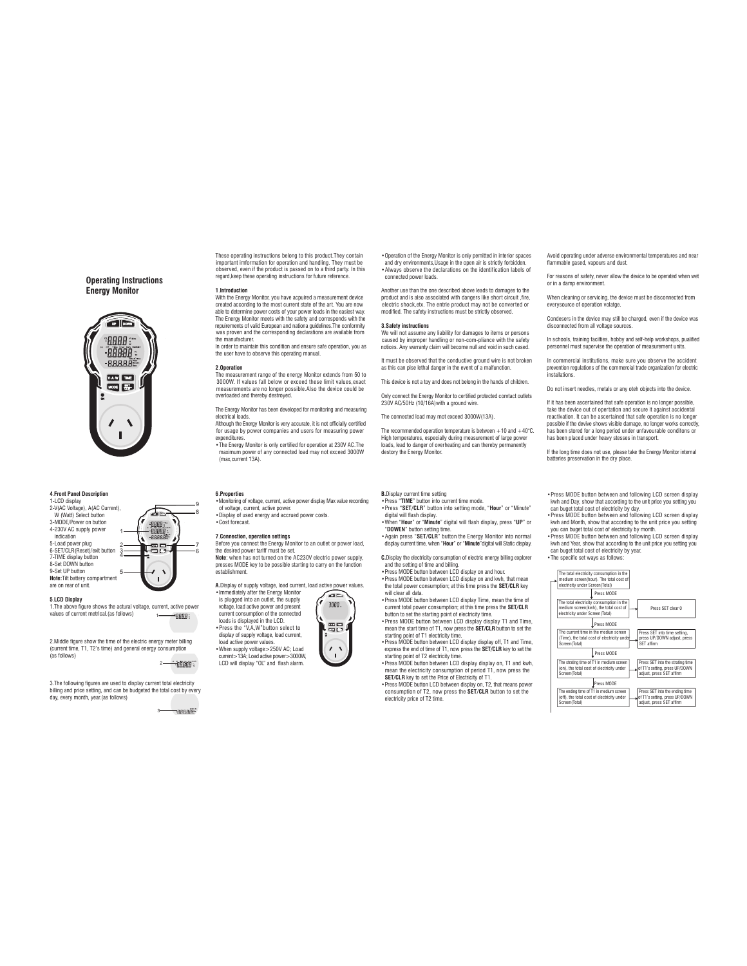**Operating Instructions Energy Monitor**



### **4 Front Panel Description** .

1-LCD display 2-V(AC Voltage), A(AC Current), W (Watt) Select button 3 MODE/Power on button - 2- 4-230V AC supply power indication 5 Load power plug - 2- 6 SET/CLR(Reset)/exit button -

**Note:** Tilt battery compartment 7 TIME display button 8 Set DOWN button - - 9-Set UP button are on rear of unit.

**5.LCD Display**<br>1.The above figure shows the actural voltage, current, active power values of current metrical.(as follows)  $-$ 8888 1

 $-988$ 

2.Middle figure show the time of the electric energy meter billing (current time, T1, T2's time) and general energy consumption (as follows)

-88888 2

3.The following figures are used to display current total electricity billing and price setting, and can be budgeted the total cost by every day, every month, year.(as follows)

> ្ត<br>មិនិទ្ធន្តទទួ 3

These operating instructions belong to this product.They contain important imformation for operation and handling. They must be observed, even if the product is passed on to a third party. In this regard, keep these operating instructions for future reference.

### .

**1.Introduction**<br>With the Energy Monitor, you have acpuired a measurement device<br>created according to the most current state of the art. You are now<br>able to determine power costs of your power loads in the easiest way.<br>Th the manufacturer.

In order to maintain this condition and ensure safe operation, you as the user have to observe this operating manual.

### **2 Operation** .

The measurement range of the energy Monitor extends from 50 to 3000W. If values fall below or exceed these limit values,exact measurements are no longer possible.Also the device could be overloaded and thereby destroyed.

The Energy Monitor has been developed for monitoring and measuring

electrical loads.<br>Although the Energy Monitor is very accurate, it is not officially certified<br>for usage by power companies and users for measuring power<br>\*The Energy Monitor is only certified for operation at 230V AC.The<br>\*

(max,current 13A). • • •

6 7

8 9 **6.Properties**<br>•Monitoring of voltage, current, active power display Max value recording of voltage, current, active power.<br>
• Display of used energy and accrued power costs. Cost forecast.

### **7 Connection, operation settings** .

Before you connect the Energy Monitor to an outlet or power load,<br>the desired power tariff must be set.<br>**Note**: when has not turned on the AC230V electric power supply,

presses MODE key to be possible starting to carry on the function .<br>establishment

Display of supply voltage, load current, load active power values. Immediately after the Energy Monitor is plugged into an outlet, the supply **A.** • • •



•Operation of the Energy Monitor is only pemitted in interior spaces • • and dry environments,Usage in the open air is strictly forbidden. Always observe the declarations on the identification labels of •connected power loads.

Another use than the one described above leads to damages to the product and is also associated with dangers like short circuit ,fire, electric shock,etx. The entrie product may not be converted or modified. The safety instructions must be strictly observed.

### **3 Safety instructions** .

We will not assume any liability for damages to items or persons caused by improper handling or non-com-pliance with the safety notices. Any warranty claim will become null and void in such cased

It must be observed that the conductive ground wire is not broken as this can plse lethal danger in the event of a malfunction.

This device is not a toy and does not belong in the hands of children.

Only connect the Energy Monitor to certified protected comtact outlets 230V AC/50Hz (10/16A)with a ground wire.

The connected load may mot exceed 3000W(13A).

**B**.Display current time setting<br>•Press "TIME" button into current time mode.

"DOWEN" button setting time.

and the setting of time and billing.

• •

• •

• •

• • •

• •

starting point of T1 electricity time .

**SET/CLR** key to set the Private Private SMODE button LCD b<br>consumption of T2, now<br>electricity price of T2 time.

current total power consumption; at this time pre<br>button to set the starting point of electricity time<br>• Press MODE button between LCD display disp<br>• mean the start time of T1, now press the **SET/CL** 

The recommended operation temperature is between +10 and +40°C. High temperatures, especially during measurement of large power loads, lead to danger of overheating and can thereby permanently destory the Energy Monitor.

• Press "**IIME**" button into current time mode.<br>• Press "**SET/CLR**" button into setting mode, "**Hour**" or "Minute" digital will flash display.<br>•When "**Hour**" or "**Minute**" digital will flash display, press "UP" or

**"DOWEN**" button setting time.<br>•Again press "**SET/CLR**" button the Energy Monitor into normal display current time, when "Hour" or "Minute" digital will Static display. **C** Display the electricity consumption of electric energy billing explorer **.** •

current total power consumption; at this time press the **SET/CLR** 

Press MODE button between LCD display on and hour.<br>Press MODE button between LCD display on and kwh, that mean<br>the total power consumption; at this time press the **SET/CLR** key will clear all data Press MODE button between LCD display Time, mean the time of • . •button to set the starting point of electricity time.<br>Press MODE button between LCD display display T1 and Time,<br>mean the start time of T1, now press the **SET/CLR** button to set the

Press MODE button between LCD display display off, T1 and Time,<br>express the end of time of T1, now press the **SET/CLR** key to set the<br>starting point of T2 electricity time.<br>Press MODE button between LCD display display on, mean the electricity consumption of period T1, now press the<br>**SET/CLR** key to set the Price of Electricity of T1. Press MODE button LCD between display on, T2, that means power<br>consumption of T2, now press the **SET/CLR** button to set the<br>electricity price of T2 time.

**SET/CLR**

**SET/CLR**

Avoid operating under adverse environmental temperatures and near flammable gased, vapours and dust.

reasons of safety, never allow the device to be operated when wet or in a damp environment.

When cleaning or servicing, the device must be disconnected from every source of operation volatge

Condesers in the device may still be charged, even if the device was disconnected from all voltage sources.

In schools, training facilties, hobby and self-help workshops, pualified personnel must supervise the operation of measurement units.

In commercial institutions, make sure you observe the accident prevention regulations of the commercial trade organization for electric installations.

Do not insert needles, metals or any oteh objects into the device.

If it has been ascertained that safe operation is no longer possible, take the device out of opertation and secure it against accidental reactivation. It can be ascertained that safe operation is no longer possible if the devive shows visible damage, no longer works correctly, has been stored for a long period under unfavourable conditons or has been placed under heavy stesses in transport.

If the long time does not use, please take the Energy Monitor internal batteries preservation in the dry place.

•Press MODE button between and following LCD screen display kwh and Day, show that according to the unit price you setting you can buget total cost of electricity by day. Press MODE button between and following LCD screen display • • •

• you can buget total cost of electricity by month.<br>•Press MODE button between and following LCD screen display kwh and Month, show that according to the unit price you setting •you can buget total cost of electricity by month.

• kwh and Year, show that according to the unit price you setting you can buget total cost of electricity by year. The specific set ways as follows: • •

| The total electricity consumption in the<br>medium screen(hour). The total cost of<br>electricity under Screen(Total) |            |  |                                                                                                |
|-----------------------------------------------------------------------------------------------------------------------|------------|--|------------------------------------------------------------------------------------------------|
|                                                                                                                       | Press MODE |  |                                                                                                |
| The total electricity consumption in the<br>medium screen(kwh), the total cost of<br>electricity under Screen(Total)  |            |  | Press SFT clear 0                                                                              |
|                                                                                                                       | Press MODE |  |                                                                                                |
| The current time in the mediun screen<br>(Time), the total cost of electricity under<br>Screen(Total)                 |            |  | Press SET into time setting.<br>press UP/DOWN adjust, press<br>SFT affirm                      |
|                                                                                                                       | Press MODE |  |                                                                                                |
| The strating time of T1 in medium screen<br>(on), the total cost of electricity under<br>Screen(Total)                |            |  | Press SET into the strating time<br>of T1's setting, press UP/DOWN<br>adiust, press SET affirm |
|                                                                                                                       | Press MODE |  |                                                                                                |
| The ending time of T1 in medium screen<br>(off), the total cost of electricity under<br>Screen(Total)                 |            |  | Press SET into the ending time<br>of T1's setting, press UP/DOWN<br>adiust, press SET affirm   |